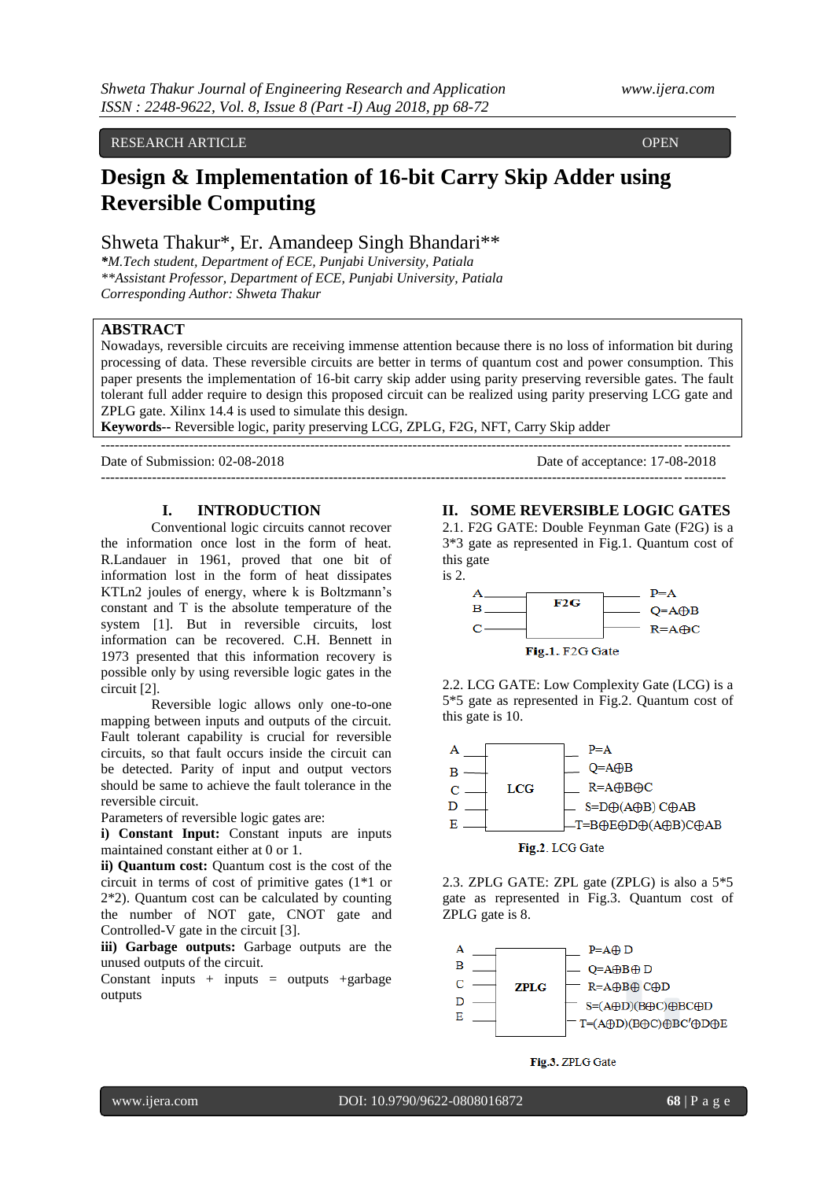### RESEARCH ARTICLE **CONTRACT OPEN**

# **Design & Implementation of 16-bit Carry Skip Adder using Reversible Computing**

# Shweta Thakur\*, Er. Amandeep Singh Bhandari\*\*

*\*M.Tech student, Department of ECE, Punjabi University, Patiala \*\*Assistant Professor, Department of ECE, Punjabi University, Patiala Corresponding Author: Shweta Thakur*

# **ABSTRACT**

ACCESS

Nowadays, reversible circuits are receiving immense attention because there is no loss of information bit during processing of data. These reversible circuits are better in terms of quantum cost and power consumption. This paper presents the implementation of 16-bit carry skip adder using parity preserving reversible gates. The fault tolerant full adder require to design this proposed circuit can be realized using parity preserving LCG gate and ZPLG gate. Xilinx 14.4 is used to simulate this design.

--------------------------------------------------------------------------------------------------------------------------------------

**Keywords--** Reversible logic, parity preserving LCG, ZPLG, F2G, NFT, Carry Skip adder

---------------------------------------------------------------------------------------------------------------------------------------

Date of Submission: 02-08-2018 Date of acceptance: 17-08-2018

### **I. INTRODUCTION**

Conventional logic circuits cannot recover the information once lost in the form of heat. R.Landauer in 1961, proved that one bit of information lost in the form of heat dissipates KTLn2 joules of energy, where k is Boltzmann's constant and T is the absolute temperature of the system [1]. But in reversible circuits, lost information can be recovered. C.H. Bennett in 1973 presented that this information recovery is possible only by using reversible logic gates in the circuit [2].

Reversible logic allows only one-to-one mapping between inputs and outputs of the circuit. Fault tolerant capability is crucial for reversible circuits, so that fault occurs inside the circuit can be detected. Parity of input and output vectors should be same to achieve the fault tolerance in the reversible circuit.

Parameters of reversible logic gates are:

**i) Constant Input:** Constant inputs are inputs maintained constant either at 0 or 1.

**ii) Quantum cost:** Quantum cost is the cost of the circuit in terms of cost of primitive gates (1\*1 or 2\*2). Quantum cost can be calculated by counting the number of NOT gate, CNOT gate and Controlled-V gate in the circuit [3].

**iii) Garbage outputs:** Garbage outputs are the unused outputs of the circuit.

Constant inputs  $+$  inputs  $=$  outputs  $+$ garbage outputs

### **II. SOME REVERSIBLE LOGIC GATES**

2.1. F2G GATE: Double Feynman Gate (F2G) is a 3\*3 gate as represented in Fig.1. Quantum cost of this gate

is 2.



2.2. LCG GATE: Low Complexity Gate (LCG) is a 5\*5 gate as represented in Fig.2. Quantum cost of this gate is 10.



2.3. ZPLG GATE: ZPL gate (ZPLG) is also a 5\*5 gate as represented in Fig.3. Quantum cost of ZPLG gate is 8.



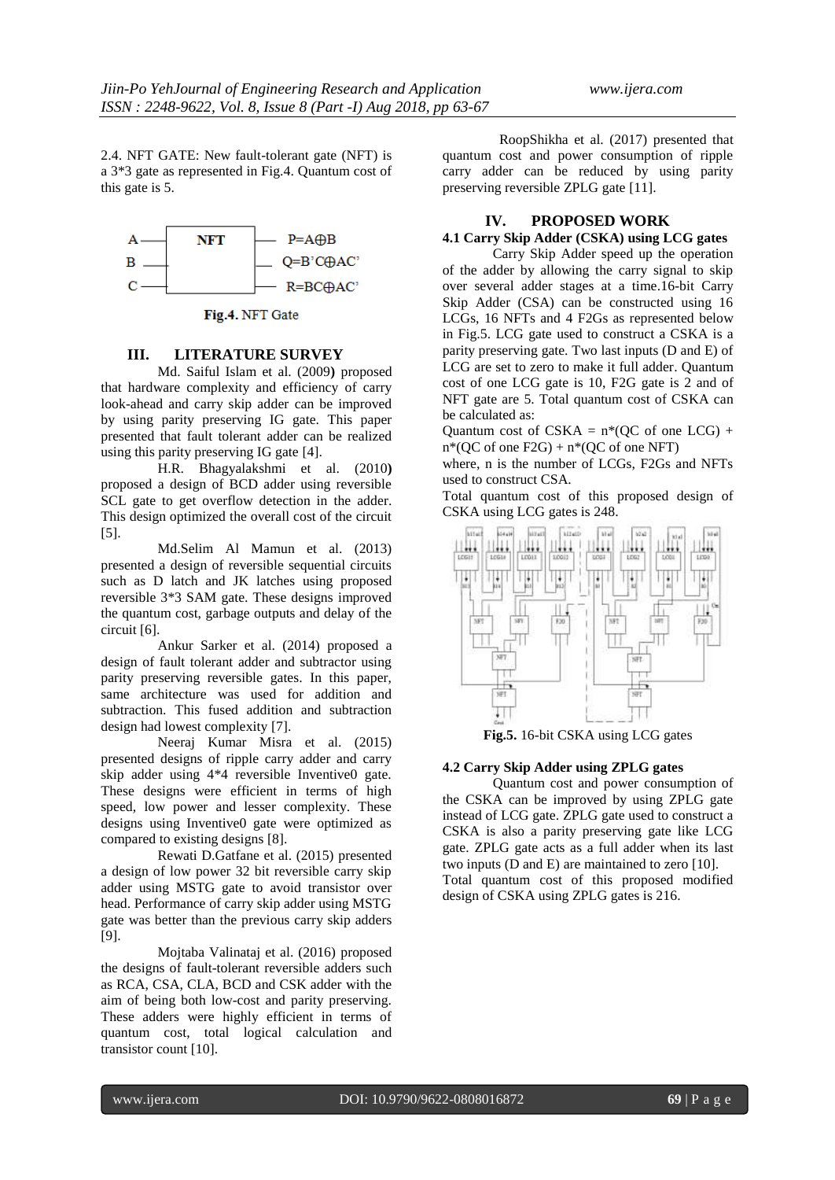2.4. NFT GATE: New fault-tolerant gate (NFT) is a 3\*3 gate as represented in Fig.4. Quantum cost of this gate is 5.



Fig.4. NFT Gate

# **III. LITERATURE SURVEY**

Md. Saiful Islam et al. (2009**)** proposed that hardware complexity and efficiency of carry look-ahead and carry skip adder can be improved by using parity preserving IG gate. This paper presented that fault tolerant adder can be realized using this parity preserving IG gate [4].

H.R. Bhagyalakshmi et al. (2010**)** proposed a design of BCD adder using reversible SCL gate to get overflow detection in the adder. This design optimized the overall cost of the circuit [5].

Md.Selim Al Mamun et al. (2013) presented a design of reversible sequential circuits such as D latch and JK latches using proposed reversible 3\*3 SAM gate. These designs improved the quantum cost, garbage outputs and delay of the circuit [6].

Ankur Sarker et al. (2014) proposed a design of fault tolerant adder and subtractor using parity preserving reversible gates. In this paper, same architecture was used for addition and subtraction. This fused addition and subtraction design had lowest complexity [7].

Neeraj Kumar Misra et al. (2015) presented designs of ripple carry adder and carry skip adder using 4\*4 reversible Inventive0 gate. These designs were efficient in terms of high speed, low power and lesser complexity. These designs using Inventive0 gate were optimized as compared to existing designs [8].

Rewati D.Gatfane et al. (2015) presented a design of low power 32 bit reversible carry skip adder using MSTG gate to avoid transistor over head. Performance of carry skip adder using MSTG gate was better than the previous carry skip adders [9].

Mojtaba Valinataj et al. (2016) proposed the designs of fault-tolerant reversible adders such as RCA, CSA, CLA, BCD and CSK adder with the aim of being both low-cost and parity preserving. These adders were highly efficient in terms of quantum cost, total logical calculation and transistor count [10].

RoopShikha et al. (2017) presented that quantum cost and power consumption of ripple carry adder can be reduced by using parity preserving reversible ZPLG gate [11].

# **IV. PROPOSED WORK**

# **4.1 Carry Skip Adder (CSKA) using LCG gates**

Carry Skip Adder speed up the operation of the adder by allowing the carry signal to skip over several adder stages at a time.16-bit Carry Skip Adder (CSA) can be constructed using 16 LCGs, 16 NFTs and 4 F2Gs as represented below in Fig.5. LCG gate used to construct a CSKA is a parity preserving gate. Two last inputs (D and E) of LCG are set to zero to make it full adder. Quantum cost of one LCG gate is 10, F2G gate is 2 and of NFT gate are 5. Total quantum cost of CSKA can be calculated as:

Quantum cost of CSKA =  $n*(QC)$  of one LCG +  $n*(QC \text{ of one F2G}) + n*(QC \text{ of one NFT})$ 

where, n is the number of LCGs, F2Gs and NFTs used to construct CSA.

Total quantum cost of this proposed design of CSKA using LCG gates is 248.



**Fig.5.** 16-bit CSKA using LCG gates

# **4.2 Carry Skip Adder using ZPLG gates**

Quantum cost and power consumption of the CSKA can be improved by using ZPLG gate instead of LCG gate. ZPLG gate used to construct a CSKA is also a parity preserving gate like LCG gate. ZPLG gate acts as a full adder when its last two inputs (D and E) are maintained to zero [10]. Total quantum cost of this proposed modified design of CSKA using ZPLG gates is 216.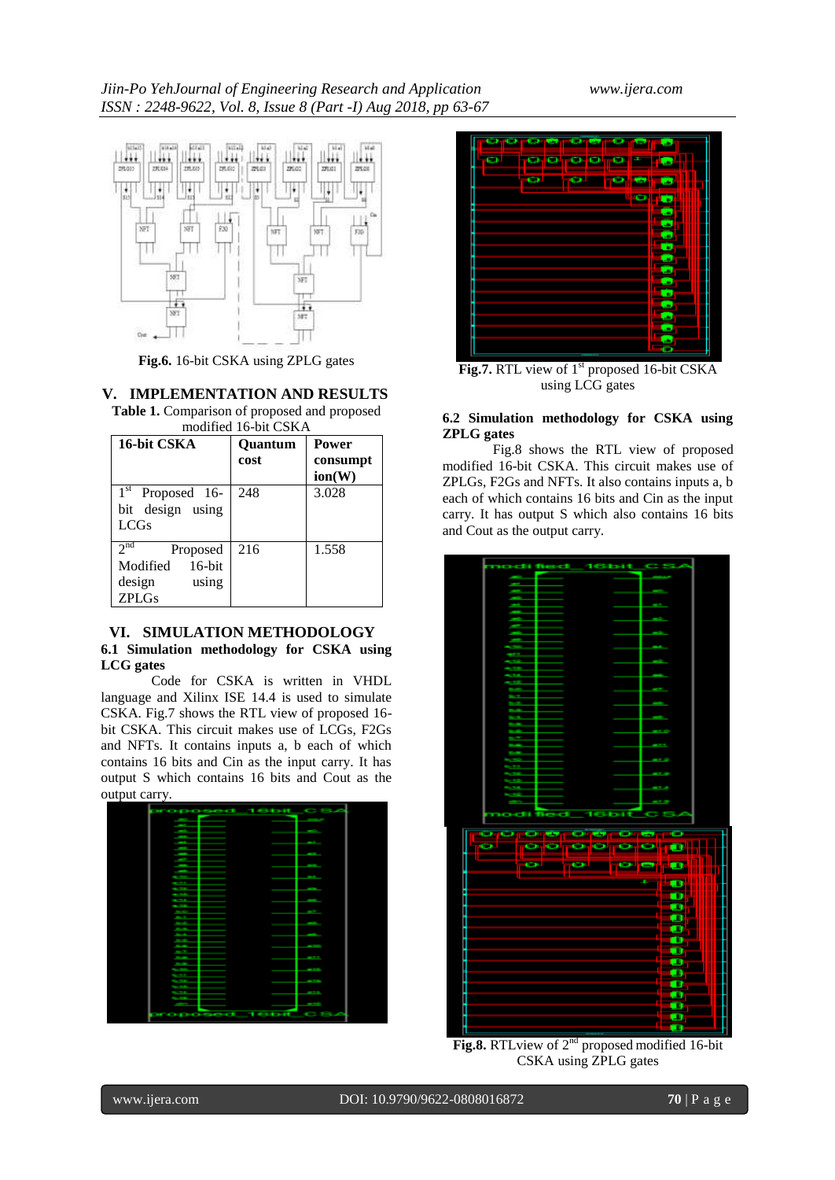

**Fig.6.** 16-bit CSKA using ZPLG gates

## **V. IMPLEMENTATION AND RESULTS**

**Table 1.** Comparison of proposed and proposed modified 16-bit CSKA

| 16-bit CSKA                                                                             | <b>Ouantum</b><br>cost | <b>Power</b><br>consumpt<br>ion(W) |
|-----------------------------------------------------------------------------------------|------------------------|------------------------------------|
| $1st$ Proposed 16-<br>bit design using<br><b>LCGs</b>                                   | 248                    | 3.028                              |
| 2 <sup>nd</sup><br>Proposed<br>$16$ -bit<br>Modified<br>design<br>using<br><b>ZPLGs</b> | 216                    | 1.558                              |

### **VI. SIMULATION METHODOLOGY**

### **6.1 Simulation methodology for CSKA using LCG gates**

Code for CSKA is written in VHDL language and Xilinx ISE 14.4 is used to simulate CSKA. Fig.7 shows the RTL view of proposed 16 bit CSKA. This circuit makes use of LCGs, F2Gs and NFTs. It contains inputs a, b each of which contains 16 bits and Cin as the input carry. It has output S which contains 16 bits and Cout as the output carry.





**Fig.7.** RTL view of 1<sup>st</sup> proposed 16-bit CSKA using LCG gates

# **6.2 Simulation methodology for CSKA using ZPLG gates**

Fig.8 shows the RTL view of proposed modified 16-bit CSKA. This circuit makes use of ZPLGs, F2Gs and NFTs. It also contains inputs a, b each of which contains 16 bits and Cin as the input carry. It has output S which also contains 16 bits and Cout as the output carry.



**Fig.8.** RTL view of  $2<sup>nd</sup>$  proposed modified 16-bit CSKA using ZPLG gates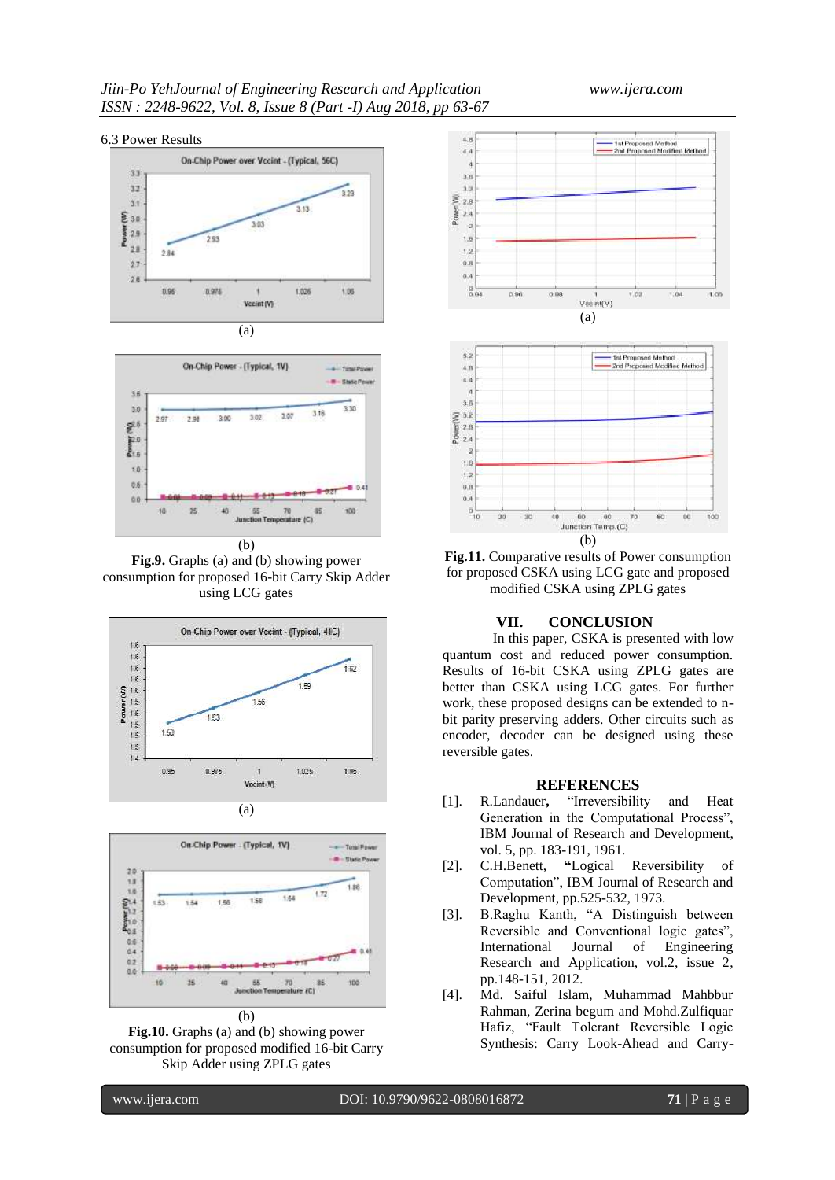### 6.3 Power Results





(b)

**Fig.9.** Graphs (a) and (b) showing power consumption for proposed 16-bit Carry Skip Adder using LCG gates





**Fig.10.** Graphs (a) and (b) showing power consumption for proposed modified 16-bit Carry Skip Adder using ZPLG gates



**Fig.11.** Comparative results of Power consumption for proposed CSKA using LCG gate and proposed modified CSKA using ZPLG gates

# **VII. CONCLUSION**

In this paper, CSKA is presented with low quantum cost and reduced power consumption. Results of 16-bit CSKA using ZPLG gates are better than CSKA using LCG gates. For further work, these proposed designs can be extended to nbit parity preserving adders. Other circuits such as encoder, decoder can be designed using these reversible gates.

### **REFERENCES**

- [1]. R.Landauer**,** "Irreversibility and Heat Generation in the Computational Process", IBM Journal of Research and Development, vol. 5, pp. 183-191, 1961.
- [2]. C.H.Benett, **"**Logical Reversibility of Computation", IBM Journal of Research and Development, pp.525-532, 1973.
- [3]. B.Raghu Kanth, "A Distinguish between Reversible and Conventional logic gates", International Journal of Engineering Research and Application, vol.2, issue 2, pp.148-151, 2012.
- [4]. Md. Saiful Islam, Muhammad Mahbbur Rahman, Zerina begum and Mohd.Zulfiquar Hafiz, "Fault Tolerant Reversible Logic Synthesis: Carry Look-Ahead and Carry-